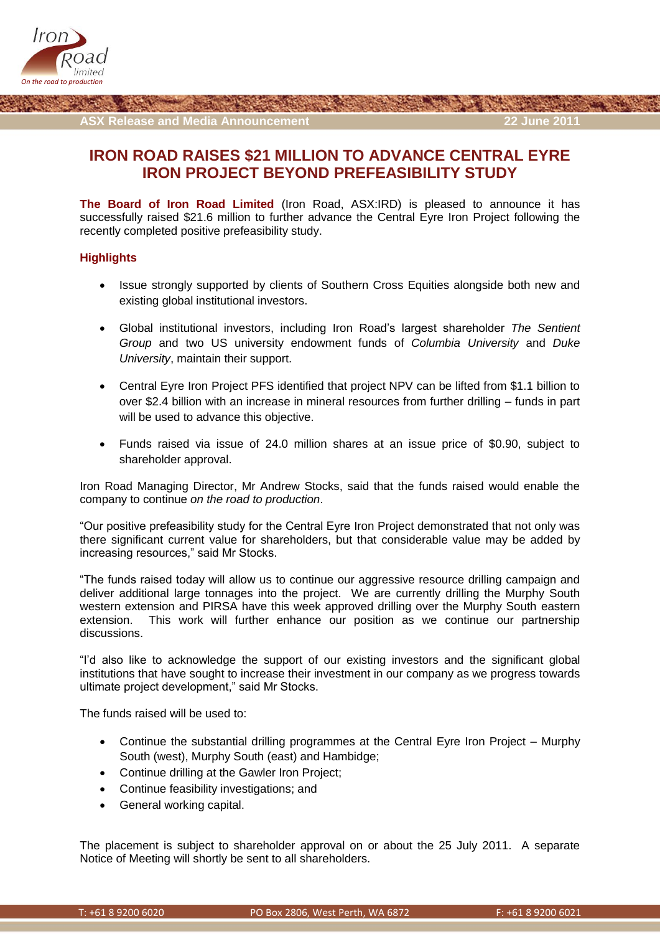

**ASX Release and Media Announcement 22 June 2011**

## **IRON ROAD RAISES \$21 MILLION TO ADVANCE CENTRAL EYRE IRON PROJECT BEYOND PREFEASIBILITY STUDY**

**The Board of Iron Road Limited** (Iron Road, ASX:IRD) is pleased to announce it has successfully raised \$21.6 million to further advance the Central Eyre Iron Project following the recently completed positive prefeasibility study.

## **Highlights**

- Issue strongly supported by clients of Southern Cross Equities alongside both new and existing global institutional investors.
- Global institutional investors, including Iron Road's largest shareholder *The Sentient Group* and two US university endowment funds of *Columbia University* and *Duke University*, maintain their support.
- Central Eyre Iron Project PFS identified that project NPV can be lifted from \$1.1 billion to over \$2.4 billion with an increase in mineral resources from further drilling – funds in part will be used to advance this objective.
- Funds raised via issue of 24.0 million shares at an issue price of \$0.90, subject to shareholder approval.

Iron Road Managing Director, Mr Andrew Stocks, said that the funds raised would enable the company to continue *on the road to production*.

"Our positive prefeasibility study for the Central Eyre Iron Project demonstrated that not only was there significant current value for shareholders, but that considerable value may be added by increasing resources," said Mr Stocks.

"The funds raised today will allow us to continue our aggressive resource drilling campaign and deliver additional large tonnages into the project. We are currently drilling the Murphy South western extension and PIRSA have this week approved drilling over the Murphy South eastern extension. This work will further enhance our position as we continue our partnership discussions.

"I'd also like to acknowledge the support of our existing investors and the significant global institutions that have sought to increase their investment in our company as we progress towards ultimate project development," said Mr Stocks.

The funds raised will be used to:

- Continue the substantial drilling programmes at the Central Eyre Iron Project Murphy South (west), Murphy South (east) and Hambidge;
- Continue drilling at the Gawler Iron Project;
- Continue feasibility investigations; and
- General working capital.

The placement is subject to shareholder approval on or about the 25 July 2011. A separate Notice of Meeting will shortly be sent to all shareholders.